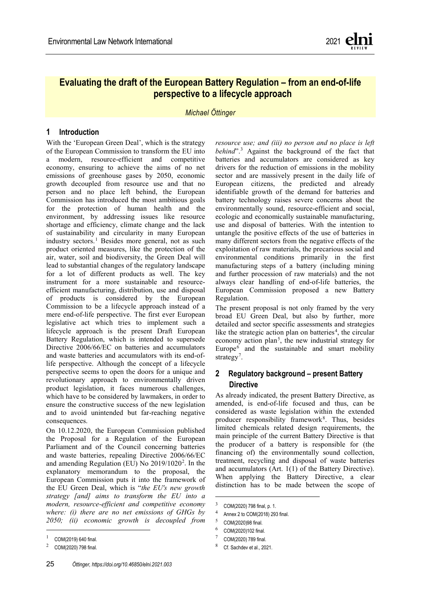

2021

ENVIRONMENTAL LAW NETWORK INTERNATIONAL

RÉSEAU INTERNATIONAL DE DROIT DE L´ENVIRONNEMENT

INTERNATIONALES NETZWERK UMWELTRECHT

# REVIEW

Evaluating the draft of the European Battery Regulation – from an end-of-life perspective to a lifecycle approach

*Michael Öttinger*

Lawyer at Produktkanzlei, Germany; oettinger@produktkanzlei.com

# Abstract

The draft of a European Regulation concerning batteries and waste batteries and repealing Battery Directive 2006/66/EC was published by the EU Commission in December 2020. From then on, there were ongoing intense discussions among lawmakers, member states and the affected industries. The draft's life-cycle regulation is an unprecedented approach in European product law and raises many questions due to numerous technical, structural and content-related deficits that urgently need to be clarified before adoption. In order to ensure that the adoption of the revolutionary new requirements for batteries will become not only a political success but an actual contribution to a more sustainable and environment friendly life-cycle of batteries, critical voices should be heard and considered in the course of the ongoing discussions. Otherwise, the highly welcomed ambition to make the EU a leader in battery technology and electrified mobility might end in a regulatory landscape which prevents innovations and investments in the European battery sector.

*Vol. 21, pp. 25 - 31 https://doi.org/10.46850/elni.2021.003*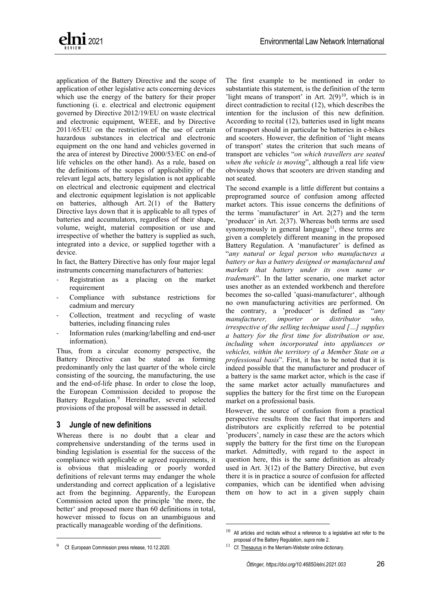

# **Evaluating the draft of the European Battery Regulation – from an end-of-life perspective to a lifecycle approach**

*Michael Öttinger*

#### **1 Introduction**

With the 'European Green Deal', which is the strategy of the European Commission to transform the EU into a modern, resource-efficient and competitive economy, ensuring to achieve the aims of no net emissions of greenhouse gases by 2050, economic growth decoupled from resource use and that no person and no place left behind, the European Commission has introduced the most ambitious goals for the protection of human health and the environment, by addressing issues like resource shortage and efficiency, climate change and the lack of sustainability and circularity in many European industry sectors.<sup>[1](#page-1-0)</sup> Besides more general, not as such product oriented measures, like the protection of the air, water, soil and biodiversity, the Green Deal will lead to substantial changes of the regulatory landscape for a lot of different products as well. The key instrument for a more sustainable and resourceefficient manufacturing, distribution, use and disposal of products is considered by the European Commission to be a lifecycle approach instead of a mere end-of-life perspective. The first ever European legislative act which tries to implement such a lifecycle approach is the present Draft European Battery Regulation, which is intended to supersede Directive 2006/66/EC on batteries and accumulators and waste batteries and accumulators with its end-oflife perspective. Although the concept of a lifecycle perspective seems to open the doors for a unique and revolutionary approach to environmentally driven product legislation, it faces numerous challenges, which have to be considered by lawmakers, in order to ensure the constructive success of the new legislation and to avoid unintended but far-reaching negative consequences.

On 10.12.2020, the European Commission published the Proposal for a Regulation of the European Parliament and of the Council concerning batteries and waste batteries, repealing Directive 2006/66/EC and amending Regulation (EU) No [2](#page-1-1)019/1020<sup>2</sup>. In the explanatory memorandum to the proposal, the European Commission puts it into the framework of the EU Green Deal, which is "*the EU's new growth strategy [and] aims to transform the EU into a modern, resource-efficient and competitive economy where: (i) there are no net emissions of GHGs by 2050; (ii) economic growth is decoupled from* 

*resource use; and (iii) no person and no place is left behind*".[3](#page-1-2) Against the background of the fact that batteries and accumulators are considered as key drivers for the reduction of emissions in the mobility sector and are massively present in the daily life of European citizens, the predicted and already identifiable growth of the demand for batteries and battery technology raises severe concerns about the environmentally sound, resource-efficient and social, ecologic and economically sustainable manufacturing, use and disposal of batteries. With the intention to untangle the positive effects of the use of batteries in many different sectors from the negative effects of the exploitation of raw materials, the precarious social and environmental conditions primarily in the first manufacturing steps of a battery (including mining and further procession of raw materials) and the not always clear handling of end-of-life batteries, the European Commission proposed a new Battery Regulation.

The present proposal is not only framed by the very broad EU Green Deal, but also by further, more detailed and sector specific assessments and strategies like the strategic action plan on batteries<sup>[4](#page-1-3)</sup>, the circular economy action plan<sup>[5](#page-1-4)</sup>, the new industrial strategy for Europe $<sup>6</sup>$  $<sup>6</sup>$  $<sup>6</sup>$  and the sustainable and smart mobility</sup> strategy<sup>[7](#page-1-0)</sup>.

# **2 Regulatory background – present Battery Directive**

As already indicated, the present Battery Directive, as amended, is end-of-life focused and thus, can be considered as waste legislation within the extended producer responsibility framework<sup>[8](#page-1-1)</sup>. Thus, besides limited chemicals related design requirements, the main principle of the current Battery Directive is that the producer of a battery is responsible for (the financing of) the environmentally sound collection, treatment, recycling and disposal of waste batteries and accumulators (Art. 1(1) of the Battery Directive). When applying the Battery Directive, a clear distinction has to be made between the scope of

<span id="page-1-5"></span><span id="page-1-4"></span><span id="page-1-3"></span><span id="page-1-2"></span><span id="page-1-0"></span> $1$  COM(2019) 640 final.

<span id="page-1-1"></span> $^{2}$  COM(2020) 798 final.

<span id="page-1-6"></span><sup>3</sup> COM(2020) 798 final, p. 1.

<sup>4</sup> Annex 2 to COM(2018) 293 final.

<sup>5</sup> COM(2020)98 final.

<sup>6</sup> COM(2020)102 final.

<sup>7</sup> COM(2020) 789 final.

<sup>8</sup> Cf. Sachdev et al., 2021.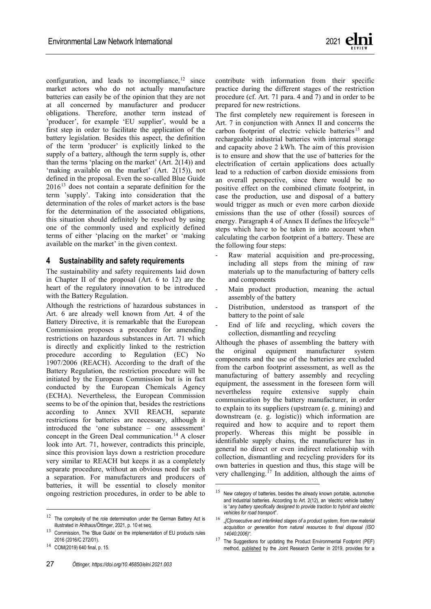

application of the Battery Directive and the scope of application of other legislative acts concerning devices which use the energy of the battery for their proper functioning (i. e. electrical and electronic equipment governed by Directive 2012/19/EU on waste electrical and electronic equipment, WEEE, and by Directive 2011/65/EU on the restriction of the use of certain hazardous substances in electrical and electronic equipment on the one hand and vehicles governed in the area of interest by Directive 2000/53/EC on end-of life vehicles on the other hand). As a rule, based on the definitions of the scopes of applicability of the relevant legal acts, battery legislation is not applicable on electrical and electronic equipment and electrical and electronic equipment legislation is not applicable on batteries, although Art. 2(1) of the Battery Directive lays down that it is applicable to all types of batteries and accumulators, regardless of their shape, volume, weight, material composition or use and irrespective of whether the battery is supplied as such, integrated into a device, or supplied together with a device.

In fact, the Battery Directive has only four major legal instruments concerning manufacturers of batteries:

- Registration as a placing on the market requirement
- Compliance with substance restrictions for cadmium and mercury
- Collection, treatment and recycling of waste batteries, including financing rules
- Information rules (marking/labelling and end-user information).

Thus, from a circular economy perspective, the Battery Directive can be stated as forming predominantly only the last quarter of the whole circle consisting of the sourcing, the manufacturing, the use and the end-of-life phase. In order to close the loop, the European Commission decided to propose the Battery Regulation.[9](#page-2-0) Hereinafter, several selected provisions of the proposal will be assessed in detail.

#### **3 Jungle of new definitions**

<span id="page-2-1"></span><span id="page-2-0"></span>Whereas there is no doubt that a clear and comprehensive understanding of the terms used in binding legislation is essential for the success of the compliance with applicable or agreed requirements, it is obvious that misleading or poorly worded definitions of relevant terms may endanger the whole understanding and correct application of a legislative act from the beginning. Apparently, the European Commission acted upon the principle 'the more, the better' and proposed more than 60 definitions in total, however missed to focus on an unambiguous and practically manageable wording of the definitions.

The first example to be mentioned in order to substantiate this statement, is the definition of the term 'light means of transport' in Art.  $2(9)^{10}$ , which is in direct contradiction to recital (12), which describes the intention for the inclusion of this new definition. According to recital (12), batteries used in light means of transport should in particular be batteries in e-bikes and scooters. However, the definition of 'light means of transport' states the criterion that such means of transport are vehicles "*on which travellers are seated when the vehicle is moving*", although a real life view obviously shows that scooters are driven standing and not seated.

The second example is a little different but contains a preprogramed source of confusion among affected market actors. This issue concerns the definitions of the terms 'manufacturer' in Art. 2(27) and the term 'producer' in Art. 2(37). Whereas both terms are used synonymously in general language $11$ , these terms are given a completely different meaning in the proposed Battery Regulation. A 'manufacturer' is defined as "*any natural or legal person who manufactures a battery or has a battery designed or manufactured and markets that battery under its own name or trademark*". In the latter scenario, one market actor uses another as an extended workbench and therefore becomes the so-called 'quasi-manufacturer', although no own manufacturing activities are performed. On the contrary, a 'producer' is defined as "*any manufacturer, importer or distributor who, irrespective of the selling technique used […] supplies a battery for the first time for distribution or use, including when incorporated into appliances or vehicles, within the territory of a Member State on a professional basis*". First, it has to be noted that it is indeed possible that the manufacturer and producer of a battery is the same market actor, which is the case if the same market actor actually manufactures and supplies the battery for the first time on the European market on a professional basis.

However, the source of confusion from a practical perspective results from the fact that importers and distributors are explicitly referred to be potential 'producers', namely in case these are the actors which supply the battery for the first time on the European market. Admittedly, with regard to the aspect in question here, this is the same definition as already used in Art. 3(12) of the Battery Directive, but even there it is in practice a source of confusion for affected companies, which can be identified when advising them on how to act in a given supply chain

 $10$  All articles and recitals without a reference to a legislative act refer to the proposal of the Battery Regulation, *supra* note [2.](#page-1-6)

 $11$  Cf[. Thesaurus](https://www.merriam-webster.com/thesaurus/manufacturer) in the Merriam-Webster online dictionary.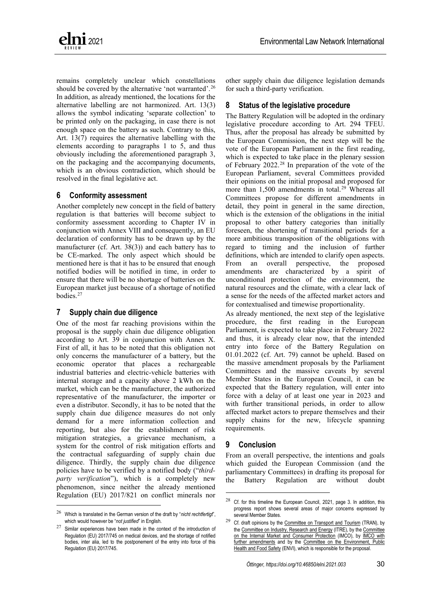perspective, in order to ensure that the dependency on third countries will be reduced as much as possible.

The last requirement of Chapter II which should be analyzed is Art. 11. Art. 11 requires the removability and replaceability of portable batteries incorporated into appliances. The relevant market actor to comply with this obligation is the manufacturer of the battery  $(Art. 38(1) a)$ . First of all, it has to be noted that a similar removal obligation is already laid down in Art. 11 of the Battery Directive and thus already applicable for several years. However, there is a big difference for such an obligation being contained in a European Directive or in a European Regulation. Currently, the removability obligation is for example transposed into German law not within the German Battery Act, but within the German Act on Electrical and Electronic Equipment and this for a reason: the manufacturer of a battery has no influence on how the manufacturer of an appliance incorporates the battery into this appliance (apart from the scenario in which the battery manufacturer builds a battery which can only be incorporated into appliance without any removability option). Therefore, the removability and replaceability obligation concerns (in general only) manufacturers of electrical and electronic equipment but not battery manufacturers. As already mentioned, as long as this obligation was contained in the European Battery Directive, the national lawmakers had flexibility where and how to transpose it into national law, in order to ensure that it targets the actually responsible market actors. Now, in case such an obligation would be contained in the European Battery Regulation, there would be no more flexibility and battery manufacturers would be bound by an obligation which is impossible for them to fulfil and which is consequently an alien element within a mere battery focused legislative framework.[24](#page-5-0)

#### **5 Labelling requirements**

Compared to Art. 21 of the Battery Directive, the proposed labelling requirements according to Art. 13 in conjunction with Annex VI are much more extensive. Although most of the new labelling elements are only obligatory starting from 2027 and thus, there will be a long transition period, this aspect will not reduce the flood of information to be printed or engraved visibly, legibly and indelibly on the battery. From a practical perspective, it should be considered to use the newly introduced obligation to print or engrave a QR code on the battery to avoid extensive information on the battery as such.

According to the current proposal, all the information to be directly printed or engraved on the battery shall, besides other information, be accessible via the QR code as well and thus, there will be an unnecessary doubling of information. From a practical perspective, it seems to be sufficient to have the most important information for users and authorities on the battery itself, which is the name, registered trade name or trademark of the manufacturer<sup>25</sup>, the chemistry and the symbol for separate collection of batteries (i. e. the symbol of the crossed-out wheeled bin), and the other information elements would be accessible via the QR code.

Another aspect which should be mentioned here is that the manufacturer of the battery, who is responsible for the correct and comprehensive labelling of the battery according to Art. 38(1) (b), does at least not necessarily have the information about the date of the placing on the market of the specific battery, although this is a mandatory labelling requirement according to Art. 13(1) in conjunction with No. 6 Part A of Annex VI. According to Art. 2(14), "*'placing on the market' means making available a battery for the first time on the Union market*" and in Art. 2(15), the term 'making available on the market' is defined as "*any supply of a battery for distribution or use on the market in the course of a commercial activity, whether in return for payment or free of charge*". In other words, neither the production of the battery as such, nor its mere storage, nor its mere transport into the territory of the EU can be considered as placing on the market, but only the first actual supply. Against this background, it is obvious that in almost all cases, irrespective the fact whether the battery was manufactured within or outside the EU, its manufacturer will not be able to print or engrave the date of the placing on the market on the battery, since this will not be known by anyone at the point in time the battery is manufactured and labelled. In combination with the fact that the actual date of placing on the market is of very limited value for all actors concerned, it should be considered to delete this requirement in total or at least to introduce reasonable and proportionate limitations in the implementing acts to be adopted according to Art. 13(7).

As a final remark, it has to be noted that both the criteria for the exemptions from the obligation to directly label the battery and the location(s) for the alterative labelling are unclear. Art. 13(6) allows the alternative labelling on the packaging and the accompanying documents, where the direct labelling of the battery is not possible or not warranted on account of its nature and size. Whereas the impossibility criterion is objectively determinable, it

<span id="page-5-1"></span><span id="page-5-0"></span> $24$  The same objective should be considered with regard to the obligation to equip rechargeable industrial and electric vehicle batteries with an accessible battery management system. In practice, the accessibility will strongly depend on the interfaces provided for by the manufacturer of the appliance in which the battery is incorporated and not so much on the battery technology as such.

 $25$  In the current proposal, there is no obligation to indicate the address and further contact details of the manufacturer on the battery.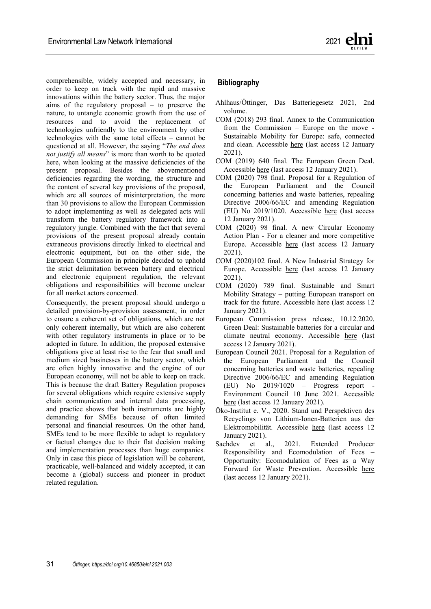

remains completely unclear which constellations should be covered by the alternative 'not warranted'.<sup>[26](#page-6-0)</sup> In addition, as already mentioned, the locations for the alternative labelling are not harmonized. Art. 13(3) allows the symbol indicating 'separate collection' to be printed only on the packaging, in case there is not enough space on the battery as such. Contrary to this, Art. 13(7) requires the alternative labelling with the elements according to paragraphs 1 to 5, and thus obviously including the aforementioned paragraph 3, on the packaging and the accompanying documents, which is an obvious contradiction, which should be resolved in the final legislative act.

#### **6 Conformity assessment**

Another completely new concept in the field of battery regulation is that batteries will become subject to conformity assessment according to Chapter IV in conjunction with Annex VIII and consequently, an EU declaration of conformity has to be drawn up by the manufacturer (cf. Art. 38(3)) and each battery has to be CE-marked. The only aspect which should be mentioned here is that it has to be ensured that enough notified bodies will be notified in time, in order to ensure that there will be no shortage of batteries on the European market just because of a shortage of notified bodies.<sup>[27](#page-6-1)</sup>

# **7 Supply chain due diligence**

One of the most far reaching provisions within the proposal is the supply chain due diligence obligation according to Art. 39 in conjunction with Annex X. First of all, it has to be noted that this obligation not only concerns the manufacturer of a battery, but the economic operator that places a rechargeable industrial batteries and electric-vehicle batteries with internal storage and a capacity above 2 kWh on the market, which can be the manufacturer, the authorized representative of the manufacturer, the importer or even a distributor. Secondly, it has to be noted that the supply chain due diligence measures do not only demand for a mere information collection and reporting, but also for the establishment of risk mitigation strategies, a grievance mechanism, a system for the control of risk mitigation efforts and the contractual safeguarding of supply chain due diligence. Thirdly, the supply chain due diligence policies have to be verified by a notified body ("*thirdparty verification*"), which is a completely new phenomenon, since neither the already mentioned Regulation (EU) 2017/821 on conflict minerals nor other supply chain due diligence legislation demands for such a third-party verification.

#### **8 Status of the legislative procedure**

The Battery Regulation will be adopted in the ordinary legislative procedure according to Art. 294 TFEU. Thus, after the proposal has already be submitted by the European Commission, the next step will be the vote of the European Parliament in the first reading, which is expected to take place in the plenary session of February 2022.[28](#page-6-2) In preparation of the vote of the European Parliament, several Committees provided their opinions on the initial proposal and proposed for more than 1,500 amendments in total.<sup>[29](#page-6-3)</sup> Whereas all Committees propose for different amendments in detail, they point in general in the same direction, which is the extension of the obligations in the initial proposal to other battery categories than initially foreseen, the shortening of transitional periods for a more ambitious transposition of the obligations with regard to timing and the inclusion of further definitions, which are intended to clarify open aspects. From an overall perspective, the proposed amendments are characterized by a spirit of unconditional protection of the environment, the natural resources and the climate, with a clear lack of a sense for the needs of the affected market actors and for contextualised and timewise proportionality.

As already mentioned, the next step of the legislative procedure, the first reading in the European Parliament, is expected to take place in February 2022 and thus, it is already clear now, that the intended entry into force of the Battery Regulation on 01.01.2022 (cf. Art. 79) cannot be upheld. Based on the massive amendment proposals by the Parliament Committees and the massive caveats by several Member States in the European Council, it can be expected that the Battery regulation, will enter into force with a delay of at least one year in 2023 and with further transitional periods, in order to allow affected market actors to prepare themselves and their supply chains for the new, lifecycle spanning requirements.

# **9 Conclusion**

From an overall perspective, the intentions and goals which guided the European Commission (and the parliamentary Committees) in drafting its proposal for the Battery Regulation are without doubt

<span id="page-6-2"></span><span id="page-6-0"></span><sup>26</sup> Which is translated in the German version of the draft by "*nicht rechtfertigt*", which would however be "*not justified*" in English.

<span id="page-6-3"></span><span id="page-6-1"></span><sup>27</sup> Similar experiences have been made in the context of the introduction of Regulation (EU) 2017/745 on medical devices, and the shortage of notified bodies, inter alia, led to the postponement of the entry into force of this Regulation (EU) 2017/745.

 $28$  Cf. for this timeline the European Council, 2021, page 3. In addition, this progress report shows several areas of major concerns expressed by several Member States.

<sup>&</sup>lt;sup>29</sup> Cf. draft opinions by the **Committee on Transport and Tourism** (TRAN), by th[e Committee on Industry, Research and Energy](https://www.europarl.europa.eu/doceo/document/ITRE-PA-692744_EN.pdf) (ITRE), by th[e Committee](https://www.europarl.europa.eu/doceo/document/IMCO-PA-695236_EN.pdf)  [on the Internal Market and Consumer Protection](https://www.europarl.europa.eu/doceo/document/IMCO-PA-695236_EN.pdf) (IMCO), by [IMCO with](https://www.europarl.europa.eu/doceo/document/IMCO-AM-697546_EN.pdf)  [further amendments](https://www.europarl.europa.eu/doceo/document/IMCO-AM-697546_EN.pdf) and by the [Committee on the Environment, Public](https://eur-lex.europa.eu/legal-content/EN/TXT/PDF/?uri=CONSIL:ST_9052_2021_REV_1&from=EN)  [Health and Food Safety](https://eur-lex.europa.eu/legal-content/EN/TXT/PDF/?uri=CONSIL:ST_9052_2021_REV_1&from=EN) (ENVI), which is responsible for the proposal.